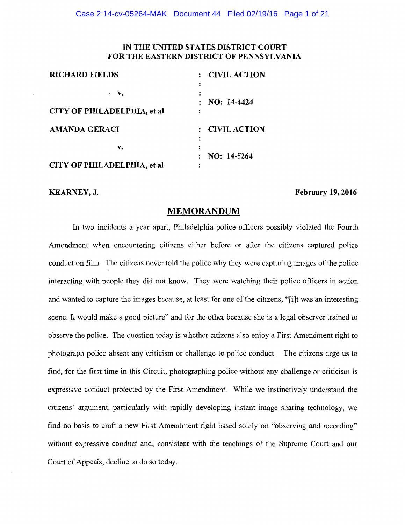# **IN THE UNITED STATES DISTRICT COURT FOR THE EASTERN DISTRICT OF PENNSYLVANIA**

| <b>RICHARD FIELDS</b>       | $:$ CIVIL ACTION    |
|-----------------------------|---------------------|
| $\cdot$ V.                  | NO: 14-4424         |
| CITY OF PHILADELPHIA, et al |                     |
| <b>AMANDA GERACI</b>        | <b>CIVIL ACTION</b> |
| v.                          |                     |
| CITY OF PHILADELPHIA, et al | $NO: 14-5264$       |

**KEARNEY, J.** February 19, 2016

# **MEMORANDUM**

In two incidents a year apart, Philadelphia police officers possibly violated the Fourth Amendment when encountering citizens either before or after the citizens captured police conduct on film. The citizens never told the police why they were capturing images of the police interacting with people they did not know. They were watching their police officers in action and wanted to capture the images because, at least for one of the citizens, "[i]t was an interesting scene. It would make a good picture" and for the other because she is a legal observer trained to observe the police. The question today is whether citizens also enjoy a First Amendment right to photograph police absent any criticism or challenge to police conduct. The citizens urge us to find, for the first time in this Circuit, photographing police without any challenge or criticism is expressive conduct protected by the First Amendment. While we instinctively understand the citizens' argument, particularly with rapidly developing instant image sharing technology, we find no basis to craft a new First Amendment right based solely on "observing and recording" without expressive conduct and, consistent with the teachings of the Supreme Court and our Court of Appeals, decline to do so today.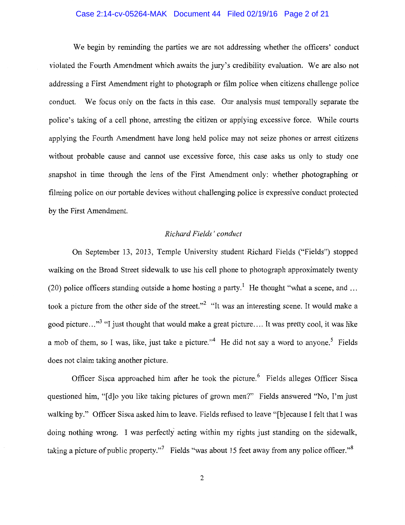### Case 2:14-cv-05264-MAK Document 44 Filed 02/19/16 Page 2 of 21

We begin by reminding the parties we are not addressing whether the officers' conduct violated the Fourth Amendment which awaits the jury's credibility evaluation. We are also not addressing a First Amendment right to photograph or film police when citizens challenge police conduct. We focus only on the facts in this case. Our analysis must temporally separate the police's taking of a cell phone, arresting the citizen or applying excessive force. While courts applying the Fourth Amendment have long held police may not seize phones or arrest citizens without probable cause and cannot use excessive force, this case asks us only to study one snapshot in time through the lens of the First Amendment only: whether photographing or filming police on our portable devices without challenging police is expressive conduct protected by the First Amendment.

# *Richard Fields' conduct*

On September 13, 2013, Temple University student Richard Fields ("Fields") stopped walking on the Broad Street sidewalk to use his cell phone to photograph approximately twenty (20) police officers standing outside a home hosting a party.<sup>1</sup> He thought "what a scene, and ... took a picture from the other side of the street."<sup>2</sup> "It was an interesting scene. It would make a good picture..."<sup>3</sup> "I just thought that would make a great picture.... It was pretty cool, it was like a mob of them, so I was, like, just take a picture."<sup>4</sup> He did not say a word to anyone.<sup>5</sup> Fields does not claim taking another picture.

Officer Sisca approached him after he took the picture.<sup>6</sup> Fields alleges Officer Sisca questioned him, "[d]o you like taking pictures of grown men?" Fields answered "No, I'm just walking by." Officer Sisca asked him to leave. Fields refused to leave "[b]ecause I felt that I was doing nothing wrong. I was perfectly acting within my rights just standing on the sidewalk, taking a picture of public property."<sup>7</sup> Fields "was about 15 feet away from any police officer."<sup>8</sup>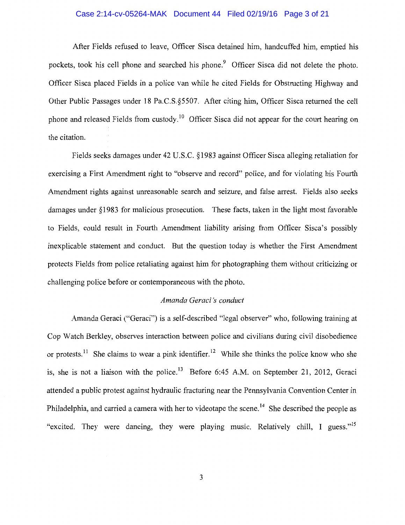### Case 2:14-cv-05264-MAK Document 44 Filed 02/19/16 Page 3 of 21

After Fields refused to leave, Officer Sisca detained him, handcuffed him, emptied his pockets, took his cell phone and searched his phone.<sup>9</sup> Officer Sisca did not delete the photo. Officer Sisca placed Fields in a police van while he cited Fields for Obstructing Highway and Other Public Passages under 18 Pa.C.S.§5507. After citing him, Officer Sisca returned the cell phone and released Fields from custody.<sup>10</sup> Officer Sisca did not appear for the court hearing on the citation.

Fields seeks damages under 42 U.S.C. §1983 against Officer Sisca alleging retaliation for exercising a First Amendment right to "observe and record" police, and for violating his Fourth Amendment rights against unreasonable search and seizure, and false arrest. Fields also seeks damages under §1983 for malicious prosecution. These facts, taken in the light most favorable to Fields, could result in Fourth Amendment liability arising from Officer Sisca's possibly inexplicable statement and conduct. But the question today is whether the First Amendment protects Fields from police retaliating against him for photographing them without criticizing or challenging police before or contemporaneous with the photo.

## *Amanda Geraci 's conduct*

Amanda Geraci ("Geraci") is a self-described "legal observer" who, following training at Cop Watch Berkley, observes interaction between police and civilians during civil disobedience or protests.<sup>11</sup> She claims to wear a pink identifier.<sup>12</sup> While she thinks the police know who she is, she is not a liaison with the police.<sup>13</sup> Before 6:45 A.M. on September 21, 2012, Geraci attended a public protest against hydraulic fracturing near the Pennsylvania Convention Center in Philadelphia, and carried a camera with her to videotape the scene.<sup>14</sup> She described the people as "excited. They were dancing, they were playing music. Relatively chill, I guess."<sup>15</sup>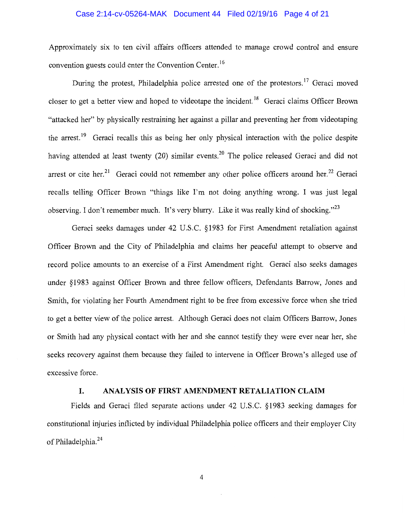## Case 2:14-cv-05264-MAK Document 44 Filed 02/19/16 Page 4 of 21

Approximately six to ten civil affairs officers attended to manage crowd control and ensure convention guests could enter the Convention Center. <sup>16</sup>

During the protest, Philadelphia police arrested one of the protestors.<sup>17</sup> Geraci moved closer to get a better view and hoped to videotape the incident.<sup>18</sup> Geraci claims Officer Brown "attacked her" by physically restraining her against a pillar and preventing her from videotaping the arrest.<sup>19</sup> Geraci recalls this as being her only physical interaction with the police despite having attended at least twenty (20) similar events.<sup>20</sup> The police released Geraci and did not arrest or cite her.<sup>21</sup> Geraci could not remember any other police officers around her.<sup>22</sup> Geraci recalls telling Officer Brown "things like I'm not doing anything wrong. I was just legal observing. I don't remember much. It's very blurry. Like it was really kind of shocking."<sup>23</sup>

Geraci seeks damages under 42 U.S.C. §1983 for First Amendment retaliation against Officer Brown and the City of Philadelphia and claims her peaceful attempt to observe and record police amounts to an exercise of a First Amendment right. Geraci also seeks damages under § 1983 against Officer Brown and three fellow officers, Defendants Barrow, Jones and Smith, for violating her Fourth Amendment right to be free from excessive force when she tried to get a better view of the police arrest. Although Geraci does not claim Officers Barrow, Jones or Smith had any physical contact with her and she cannot testify they were ever near her, she seeks recovery against them because they failed to intervene in Officer Brown's alleged use of excessive force.

## **I. ANALYSIS OF FIRST AMENDMENT RETALIATION CLAIM**

Fields and Geraci filed separate actions under 42 U.S.C. §1983 seeking damages for constitutional injuries inflicted by individual Philadelphia police officers and their employer City of Philadelphia.<sup>24</sup>

4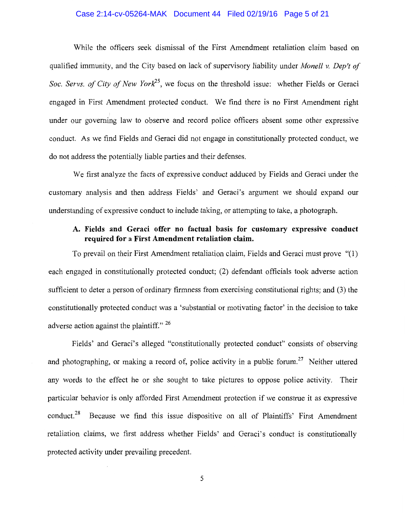### Case 2:14-cv-05264-MAK Document 44 Filed 02/19/16 Page 5 of 21

While the officers seek dismissal of the First Amendment retaliation claim based on qualified immunity, and the City based on lack of supervisory liability under *Monell v. Dep't of Soc. Servs. of City of New York*<sup>25</sup>, we focus on the threshold issue: whether Fields or Geraci engaged in First Amendment protected conduct. We find there is no First Amendment right under our governing law to observe and record police officers absent some other expressive conduct. As we find Fields and Geraci did not engage in constitutionally protected conduct, we do not address the potentially liable parties and their defenses.

We first analyze the facts of expressive conduct adduced by Fields and Geraci under the customary analysis and then address Fields' and Geraci's argument we should expand our understanding of expressive conduct to include taking, or attempting to take, a photograph.

# **A. Fields and Geraci offer no factual basis for customary expressive conduct required for a First Amendment retaliation claim.**

To prevail on their First Amendment retaliation claim, Fields and Geraci must prove "(1) each engaged in constitutionally protected conduct; (2) defendant officials took adverse action sufficient to deter a person of ordinary firmness from exercising constitutional rights; and (3) the constitutionally protected conduct was a 'substantial or motivating factor' in the decision to take adverse action against the plaintiff."  $26$ 

Fields' and Geraci's alleged "constitutionally protected conduct" consists of observing and photographing, or making a record of, police activity in a public forum.<sup>27</sup> Neither uttered any words to the effect he or she sought to take pictures to oppose police activity. Their particular behavior is only afforded First Amendment protection if we construe it as expressive conduct.<sup>28</sup> Because we find this issue dispositive on all of Plaintiffs' First Amendment retaliation claims, we first address whether Fields' and Geraci's conduct is constitutionally protected activity under prevailing precedent.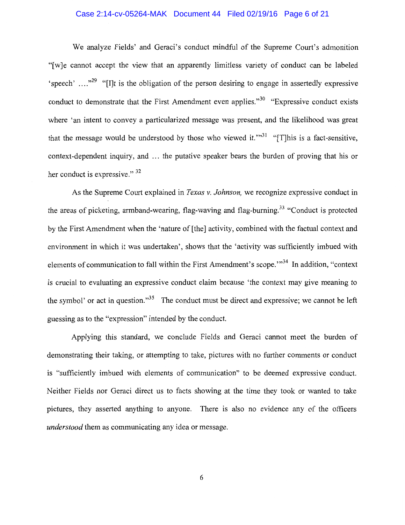## Case 2:14-cv-05264-MAK Document 44 Filed 02/19/16 Page 6 of 21

We analyze Fields' and Geraci's conduct mindful of the Supreme Court's admonition "[w]e cannot accept the view that an apparently limitless variety of conduct can be labeled 'speech' ...."<sup>29</sup> "[I]t is the obligation of the person desiring to engage in assertedly expressive conduct to demonstrate that the First Amendment even applies."<sup>30</sup> "Expressive conduct exists where 'an intent to convey a particularized message was present, and the likelihood was great that the message would be understood by those who viewed it."<sup>31</sup> "[T]his is a fact-sensitive, context-dependent inquiry, and ... the putative speaker bears the burden of proving that his or her conduct is expressive." <sup>32</sup>

As the Supreme Court explained in *Texas* v. *Johnson,* we recognize expressive conduct in the areas of picketing, armband-wearing, flag-waving and flag-burning.<sup>33</sup> "Conduct is protected by the First Amendment when the 'nature of [the] activity, combined with the factual context and environment in which it was undertaken', shows that the 'activity was sufficiently imbued with elements of communication to fall within the First Amendment's scope."<sup>34</sup> In addition, "context is crucial to evaluating an expressive conduct claim because 'the context may give meaning to the symbol' or act in question."<sup>35</sup> The conduct must be direct and expressive; we cannot be left guessing as to the "expression" intended by the conduct.

Applying this standard, we conclude Fields and Geraci cannot meet the burden of demonstrating their taking, or attempting to take, pictures with no further comments or conduct is "sufficiently imbued with elements of communication" to be deemed expressive conduct. Neither Fields nor Geraci direct us to facts showing at the time they took or wanted to take pictures, they asserted anything to anyone. There is also no evidence any of the officers *understood* them as communicating any idea or message.

6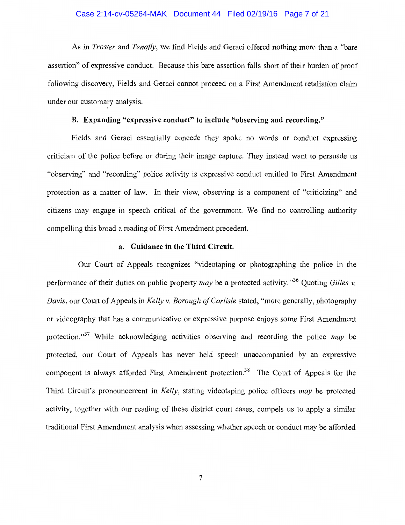## Case 2:14-cv-05264-MAK Document 44 Filed 02/19/16 Page 7 of 21

As in *Traster* and *Tenafly,* we find Fields and Geraci offered nothing more than a "bare assertion" of expressive conduct. Because this bare assertion falls short of their burden of proof following discovery, Fields and Geraci cannot proceed on a First Amendment retaliation claim under our customary analysis.

# B. Expanding "expressive conduct" to include "observing and recording."

Fields and Geraci essentially concede they spoke no words or conduct expressing criticism of the police before or during their image capture. They instead want to persuade us "observing" and "recording" police activity is expressive conduct entitled to First Amendment protection as a matter of law. In their view, observing is a component of "criticizing" and citizens may engage in speech critical of the government. We find no controlling authority compelling this broad a reading of First Amendment precedent.

# a. Guidance in the Third Circuit.

Our Court of Appeals recognizes "videotaping or photographing the police in the performance of their duties on public property *may* be a protected activity. " 36 Quoting *Gilles v. Davis,* our Court of Appeals in *Kelly v. Borough of Carlisle* stated, "more generally, photography or videography that has a communicative or expressive purpose enjoys some First Amendment protection."37 While acknowledging activities observing and recording the police *may* be protected, our Court of Appeals has never held speech unaccompanied by an expressive component is always afforded First Amendment protection.<sup>38</sup> The Court of Appeals for the Third Circuit's pronouncement in *Kelly,* stating videotaping police officers *may* be protected activity, together with our reading of these district court cases, compels us to apply a similar traditional First Amendment analysis when assessing whether speech or conduct may be afforded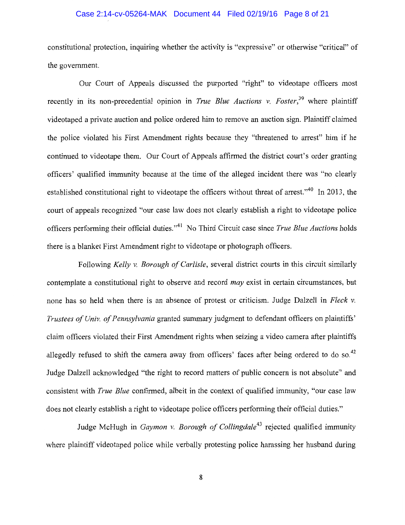# Case 2:14-cv-05264-MAK Document 44 Filed 02/19/16 Page 8 of 21

constitutional protection, inquiring whether the activity is "expressive" or otherwise "critical" of the government.

Our Court of Appeals discussed the purported "right" to videotape officers most recently in its non-precedential opinion in *True Blue Auctions v. Foster*,<sup>39</sup> where plaintiff videotaped a private auction and police ordered him to remove an auction sign. Plaintiff claimed the police violated his First Amendment rights because they "threatened to arrest" him if he continued to videotape them. Our Court of Appeals affirmed the district court's order granting officers' qualified immunity because at the time of the alleged incident there was "no clearly established constitutional right to videotape the officers without threat of arrest."<sup>40</sup> In 2013, the court of appeals recognized "our case law does not clearly establish a right to videotape police officers performing their official duties."41 No Third Circuit case since *True Blue Auctions* holds there is a blanket First Amendment right to videotape or photograph officers.

Following *Kelly v. Borough of Carlisle,* several district courts in this circuit similarly contemplate a constitutional right to observe and record *may* exist in certain circumstances, but none has so held when there is an absence of protest or criticism. Judge Dalzell in *Fleck v. Trustees of Univ. of Pennsylvania* granted summary judgment to defendant officers on plaintiffs' claim officers violated their First Amendment rights when seizing a video camera after plaintiffs allegedly refused to shift the camera away from officers' faces after being ordered to do so.<sup>42</sup> Judge Dalzell acknowledged "the right to record matters of public concern is not absolute" and consistent with *True Blue* confirmed, albeit in the context of qualified immunity, "our case law does not clearly establish a right to videotape police officers performing their official duties."

Judge McHugh in *Gaymon v. Borough of Collingdale43* rejected qualified immunity where plaintiff videotaped police while verbally protesting police harassing her husband during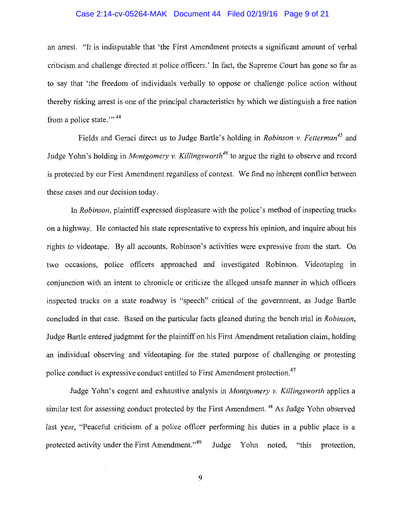### Case 2:14-cv-05264-MAK Document 44 Filed 02/19/16 Page 9 of 21

an arrest. "It is indisputable that 'the First Amendment protects a significant amount of verbal criticism and challenge directed at police officers.' In fact, the Supreme Court has gone so far as to say that 'the freedom of individuals verbally to oppose or challenge police action without thereby risking arrest is one of the principal characteristics by which we distinguish a free nation from a police state. $\cdots$ <sup>44</sup>

Fields and Geraci direct us to Judge Bartle's holding in *Robinson v. Fetterman<sup>45</sup>*and Judge Yohn's holding in *Montgomery v. Killingsworth<sup>46</sup>* to argue the right to observe and record is protected by our First Amendment regardless of context. We find no inherent conflict between these cases and our decision today.

In *Robinson,* plaintiff expressed displeasure with the police's method of inspecting trucks on a highway. He contacted his state representative to express his opinion, and inquire about his rights to videotape. By all accounts, Robinson's activities were expressive from the start. On two occasions, police officers approached and investigated Robinson. Videotaping in conjunction with an intent to chronicle or criticize the alleged unsafe manner in which officers inspected trucks on a state roadway is "speech" critical of the government, as Judge Bartle concluded in that case. Based on the particular facts gleaned during the bench trial in *Robinson,*  Judge Bartle entered judgment for the plaintiff on his First Amendment retaliation claim, holding an individual observing and videotaping for the stated purpose of challenging or protesting police conduct is expressive conduct entitled to First Amendment protection.<sup>47</sup>

Judge Yohn's cogent and exhaustive analysis in *Montgomery v. Killingsworth* applies a similar test for assessing conduct protected by the First Amendment.<sup>48</sup> As Judge Yohn observed last year, "Peaceful criticism of a police officer performing his duties in a public place is a protected activity under the First Amendment."<sup>49</sup> Judge Yohn noted, "this protection,

9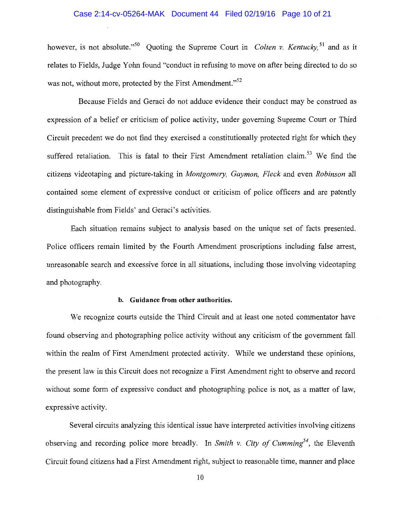## Case 2:14-cv-05264-MAK Document 44 Filed 02/19/16 Page 10 of 21

however, is not absolute."<sup>50</sup> Quoting the Supreme Court in *Colten v. Kentucky*,<sup>51</sup> and as it relates to Fields, Judge Yohn found "conduct in refusing to move on after being directed to do so was not, without more, protected by the First Amendment."<sup>52</sup>

Because Fields and Geraci do not adduce evidence their conduct may be construed as expression of a belief or criticism of police activity, under governing Supreme Court or Third Circuit precedent we do not find they exercised a constitutionally protected right for which they suffered retaliation. This is fatal to their First Amendment retaliation claim.<sup>53</sup> We find the citizens videotaping and picture-taking in *Montgomery, Gaymon, Fleck* and even *Robinson* all contained some element of expressive conduct or criticism of police officers and are patently distinguishable from Fields' and Geraci's activities.

Each situation remains subject to analysis based on the unique set of facts presented. Police officers remain limited by the Fourth Amendment proscriptions including false arrest, unreasonable search and excessive force in all situations, including those involving videotaping and photography.

## **b. Guidance from other authorities.**

We recognize courts outside the Third Circuit and at least one noted commentator have found observing and photographing police activity without any criticism of the government fall within the realm of First Amendment protected activity. While we understand these opinions, the present law in this Circuit does not recognize a First Amendment right to observe and record without some form of expressive conduct and photographing police is not, as a matter of law, expressive activity.

Several circuits analyzing this identical issue have interpreted activities involving citizens observing and recording police more broadly. In *Smith v. City of Cumming*<sup>54</sup>, the Eleventh Circuit found citizens had a First Amendment right, subject to reasonable time, manner and place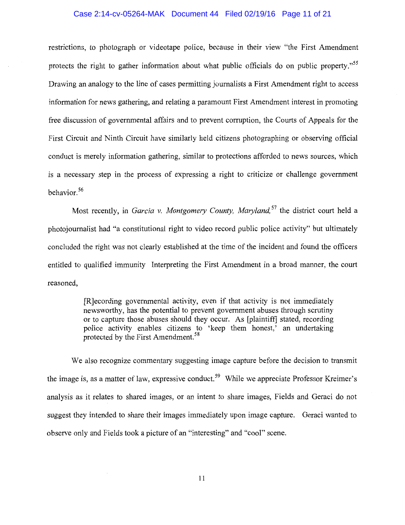#### Case 2:14-cv-05264-MAK Document 44 Filed 02/19/16 Page 11 of 21

restrictions, to photograph or videotape police, because in their view "the First Amendment protects the right to gather information about what public officials do on public property."<sup>55</sup> Drawing an analogy to the line of cases permitting journalists a First Amendment right to access information for news gathering, and relating a paramount First Amendment interest in promoting free discussion of governmental affairs and to prevent corruption, the Courts of Appeals for the First Circuit and Ninth Circuit have similarly held citizens photographing or observing official conduct is merely information gathering, similar to protections afforded to news sources, which is a necessary step in the process of expressing a right to criticize or challenge government behavior. 56

Most recently, in *Garcia v. Montgomery County, Maryland*,<sup>57</sup> the district court held a photojournalist had "a constitutional right to video record public police activity" but ultimately concluded the right was not clearly established at the time of the incident and found the officers entitled to qualified immunity Interpreting the First Amendment in a broad manner, the court reasoned,

> [R]ecording governmental activity, even if that activity is not immediately newsworthy, has the potential to prevent government abuses through scrutiny or to capture those abuses should they occur. As [plaintiff] stated, recording police activity enables citizens to 'keep them honest,' an undertaking protected by the First Amendment.<sup>58</sup>

We also recognize commentary suggesting image capture before the decision to transmit the image is, as a matter of law, expressive conduct.<sup>59</sup> While we appreciate Professor Kreimer's analysis as it relates to shared images, or an intent to share images, Fields and Geraci do not suggest they intended to share their images immediately upon image capture. Geraci wanted to observe only and Fields took a picture of an "interesting" and "cool" scene.

11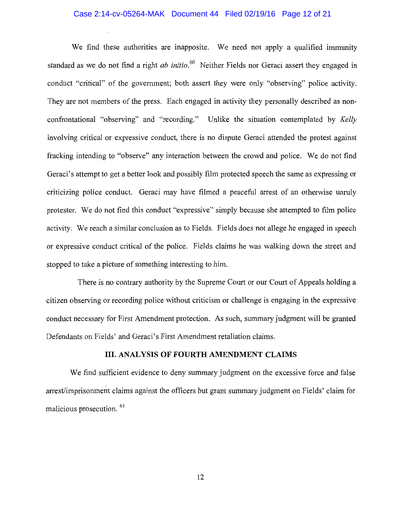## Case 2:14-cv-05264-MAK Document 44 Filed 02/19/16 Page 12 of 21

We find these authorities are inapposite. We need not apply a qualified immunity standard as we do not find a right *ab initio.* 60 Neither Fields nor Geraci assert they engaged in conduct "critical" of the government; both assert they were only "observing" police activity. They are not members of the press. Each engaged in activity they personally described as nonconfrontational "observing" and "recording." Unlike the situation contemplated by *Kelly*  involving critical or expressive conduct, there is no dispute Geraci attended the protest against fracking intending to "observe" any interaction between the crowd and police. We do not find Geraci's attempt to get a better look and possibly film protected speech the same as expressing or criticizing police conduct. Geraci may have filmed a peaceful arrest of an otherwise unruly protester. We do not find this conduct "expressive" simply because she attempted to film police activity. We reach a similar conclusion as to Fields. Fields does not allege he engaged in speech or expressive conduct critical of the police. Fields claims he was walking down the street and stopped to take a picture of something interesting to him.

There is no contrary authority by the Supreme Court or our Court of Appeals holding a citizen observing or recording police without criticism or challenge is engaging in the expressive conduct necessary for First Amendment protection. As such, summary judgment will be granted Defendants on Fields' and Geraci's First Amendment retaliation claims.

## **III. ANALYSIS OF FOURTH AMENDMENT CLAIMS**

We find sufficient evidence to deny summary judgment on the excessive force and false arrest/imprisonment claims against the officers but grant summary judgment on Fields' claim for malicious prosecution.<sup>61</sup>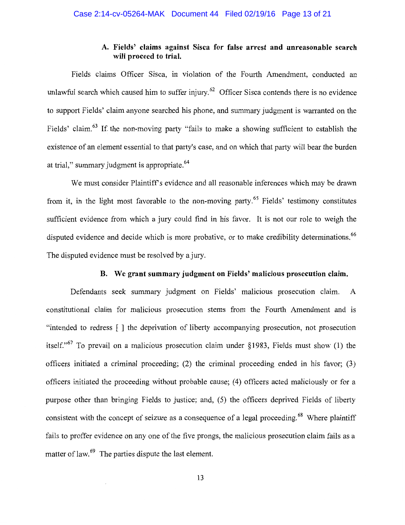# **A. Fields' claims against Sisca for false arrest and unreasonable search will proceed to trial.**

Fields claims Officer Sisca, in violation of the Fourth Amendment, conducted an unlawful search which caused him to suffer injury.<sup>62</sup> Officer Sisca contends there is no evidence to support Fields' claim anyone searched his phone, and summary judgment is warranted on the Fields' claim.<sup>63</sup> If the non-moving party "fails to make a showing sufficient to establish the existence of an element essential to that party's case, and on which that party will bear the burden at trial," summary judgment is appropriate. <sup>64</sup>

We must consider Plaintiff's evidence and all reasonable inferences which may be drawn from it, in the light most favorable to the non-moving party.<sup>65</sup> Fields' testimony constitutes sufficient evidence from which a jury could find in his favor. It is not our role to weigh the disputed evidence and decide which is more probative, or to make credibility determinations.<sup>66</sup> The disputed evidence must be resolved by a jury.

# **B. We grant summary judgment on Fields' malicious prosecution claim.**

Defendants seek summary judgment on Fields' malicious prosecution claim. A constitutional claim for malicious prosecution stems from the Fourth Amendment and 1s "intended to redress [ ] the deprivation of liberty accompanying prosecution, not prosecution itself."<sup>67</sup> To prevail on a malicious prosecution claim under §1983, Fields must show (1) the officers initiated a criminal proceeding; (2) the criminal proceeding ended in his favor; (3) officers initiated the proceeding without probable cause; (4) officers acted maliciously or for a purpose other than bringing Fields to justice; and, (5) the officers deprived Fields of liberty consistent with the concept of seizure as a consequence of a legal proceeding.<sup>68</sup> Where plaintiff fails to proffer evidence on any one of the five prongs, the malicious prosecution claim fails as a matter of law.<sup>69</sup> The parties dispute the last element.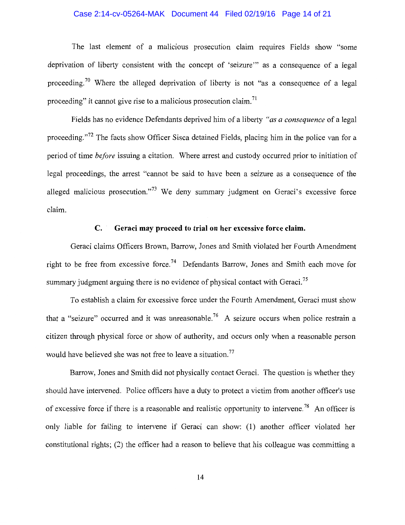## Case 2:14-cv-05264-MAK Document 44 Filed 02/19/16 Page 14 of 21

The last element of a malicious prosecution claim requires Fields show "some deprivation of liberty consistent with the concept of 'seizure"' as a consequence of a legal proceeding.<sup>70</sup> Where the alleged deprivation of liberty is not "as a consequence of a legal proceeding" it cannot give rise to a malicious prosecution claim.<sup>71</sup>

Fields has no evidence Defendants deprived him of a liberty *"as a consequence* of a legal proceeding."<sup>72</sup> The facts show Officer Sisca detained Fields, placing him in the police van for a period of time *before* issuing a citation. Where arrest and custody occurred prior to initiation of legal proceedings, the arrest "cannot be said to have been a seizure as a consequence of the alleged malicious prosecution."<sup>73</sup> We deny summary judgment on Geraci's excessive force claim.

# **C. Geraci may proceed to trial on her excessive force claim.**

Geraci claims Officers Brown, Barrow, Jones and Smith violated her Fourth Amendment right to be free from excessive force.<sup>74</sup> Defendants Barrow, Jones and Smith each move for summary judgment arguing there is no evidence of physical contact with Geraci.<sup>75</sup>

To establish a claim for excessive force under the Fourth Amendment, Geraci must show that a "seizure" occurred and it was unreasonable.<sup>76</sup> A seizure occurs when police restrain a citizen through physical force or show of authority, and occurs only when a reasonable person would have believed she was not free to leave a situation.<sup>77</sup>

Barrow, Jones and Smith did not physically contact Geraci. The question is whether they should have intervened. Police officers have a duty to protect a victim from another officer's use of excessive force if there is a reasonable and realistic opportunity to intervene.<sup>78</sup> An officer is only liable for failing to intervene if Geraci can show: (1) another officer violated her constitutional rights; (2) the officer had a reason to believe that his colleague was committing a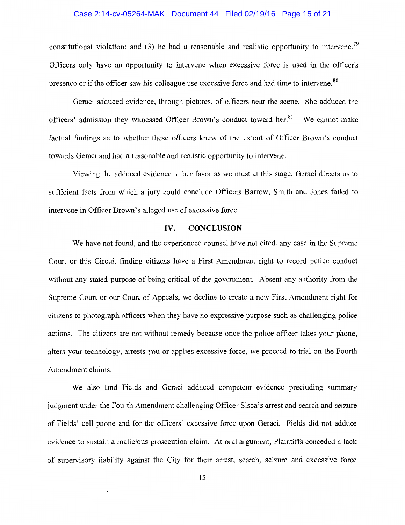#### Case 2:14-cv-05264-MAK Document 44 Filed 02/19/16 Page 15 of 21

constitutional violation; and  $(3)$  he had a reasonable and realistic opportunity to intervene.<sup>79</sup> Officers only have an opportunity to intervene when excessive force is used in the officer's presence or if the officer saw his colleague use excessive force and had time to intervene.<sup>80</sup>

Geraci adduced evidence, through pictures, of officers near the scene. She adduced the officers' admission they witnessed Officer Brown's conduct toward her.<sup>81</sup> We cannot make factual findings as to whether these officers knew of the extent of Officer Brown's conduct towards Geraci and had a reasonable and realistic opportunity to intervene.

Viewing the adduced evidence in her favor as we must at this stage, Geraci directs us to sufficient facts from which a jury could conclude Officers Barrow, Smith and Jones failed to intervene in Officer Brown's alleged use of excessive force.

## **IV. CONCLUSION**

We have not found, and the experienced counsel have not cited, any case in the Supreme Court or this Circuit finding citizens have a First Amendment right to record police conduct without any stated purpose of being critical of the government. Absent any authority from the Supreme Court or our Court of Appeals, we decline to create a new First Amendment right for citizens to photograph officers when they have no expressive purpose such as challenging police actions. The citizens are not without remedy because once the police officer takes your phone, alters your technology, arrests you or applies excessive force, we proceed to trial on the Fourth Amendment claims.

We also find Fields and Geraci adduced competent evidence precluding summary judgment under the Fourth Amendment challenging Officer Sisca's arrest and search and seizure of Fields' cell phone and for the officers' excessive force upon Geraci. Fields did not adduce evidence to sustain a malicious prosecution claim. At oral argument, Plaintiffs conceded a lack of supervisory liability against the City for their arrest, search, seizure and excessive force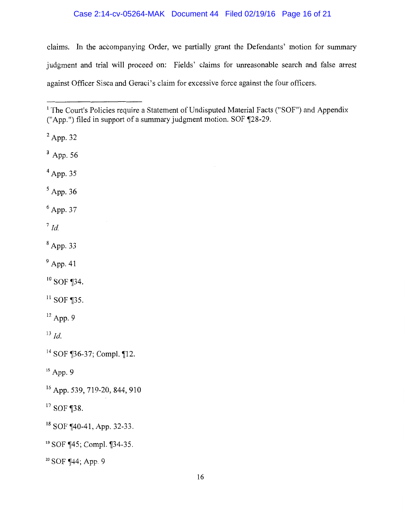# Case 2:14-cv-05264-MAK Document 44 Filed 02/19/16 Page 16 of 21

claims. In the accompanying Order, we partially grant the Defendants' motion for summary judgment and trial will proceed on: Fields' claims for unreasonable search and false arrest against Officer Sisca and Geraci's claim for excessive force against the four officers.

 $2$  App. 32

<sup>3</sup> App. 56

4 App. 35

 $<sup>5</sup>$  App. 36</sup>

 $6$  App. 37

 $^7$  *Id.* 

 $8$  App. 33

 $9$  App. 41

 $10$  SOF ¶34.

 $11$  SOF ¶35.

 $12$  App. 9

 $^{13}$  *Id.* 

 $14$  SOF ¶36-37; Compl. ¶12.

 $15$  App. 9

16 App. 539, 719-20, 844, 910

 $17$  SOF ¶38.

 $18$  SOF  $\P$ 40-41, App. 32-33.

<sup>19</sup> SOF ¶45; Compl. ¶34-35.

 $20$  SOF  $\P$ 44; App. 9

<sup>&</sup>lt;sup>1</sup> The Court's Policies require a Statement of Undisputed Material Facts ("SOF") and Appendix ("App.") filed in support of a summary judgment motion. SOF  $\P$ 28-29.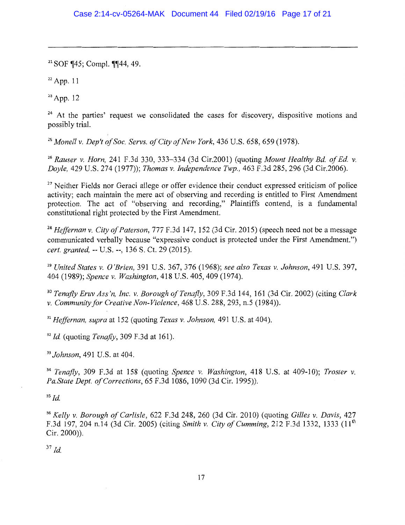$21$  SOF  $\P{45$ ; Compl.  $\P{44, 49}$ .

 $22$  App. 11

 $23$  App. 12

<sup>24</sup> At the parties' request we consolidated the cases for discovery, dispositive motions and possibly trial.

<sup>25</sup>*Monell v. Dep't of Soc. Servs. of City of New York,* 436 U.S. 658, 659 (1978).

<sup>26</sup>*Rauser v. Horn,* 241 F.3d 330, 333-334 (3d Cir.2001) (quoting *Mount Healthy Bd. of Ed. v. Doyle,* 429 U.S. 274 (1977)); *Thomas v. Independence Twp.,* 463 F.3d 285, 296 (3d Cir.2006).

<sup>27</sup> Neither Fields nor Geraci allege or offer evidence their conduct expressed criticism of police activity; each maintain the mere act of observing and recording is entitled to First Amendment protection. The act of "observing and recording," Plaintiffs contend, is a fundamental constitutional right protected by the First Amendment.

<sup>28</sup>*Heffernan v. City of Paterson,* 777 F.3d 147, 152 (3d Cir. 2015) (speech need not be a message communicated verbally because "expressive conduct is protected under the First Amendment.") *cert. granted,* -- U.S.--, 136 S. Ct. 29 (2015).

<sup>29</sup>*United States v. O'Brien,* 391 U.S. 367, 376 (1968); *see also Texas v. Johnson,* 491 U.S. 397, 404 (1989); *Spence v. Washington,* 418 U.S. 405, 409 (1974).

<sup>30</sup>*Tenafly Eruv Ass 'n, Inc. v. Borough of Tenafly,* 309 F.3d 144, 161 (3d Cir. 2002) (citing *Clark v. Community for Creative Non-Violence,* 468 U.S. 288, 293, n.5 (1984)).

<sup>31</sup>*Heffernan, supra* at 152 (quoting *Texas v. Johnson,* 491 U.S. at 404).

<sup>32</sup>*Id.* (quoting *Tenafly,* 309 F.3d at 161).

<sup>33</sup>*Johnson,* 491 U.S. at 404.

<sup>34</sup> Tenafly, 309 F.3d at 158 (quoting *Spence v. Washington*, 418 U.S. at 409-10); *Troster v. Pa.State Dept. of Corrections,* 65 F.3d 1086, 1090 (3d Cir. 1995)).

 $35$  *Id.* 

<sup>36</sup>*Kelly v. Borough of Carlisle,* 622 F.3d 248, 260 (3d Cir. 2010) (quoting *Gilles v. Davis,* 427 F.3d 197, 204 n.14 (3d Cir. 2005) (citing *Smith v. City of Cumming,* 212 F.3d 1332, 1333 (11th Cir. 2000)).

 $37$  *Id.*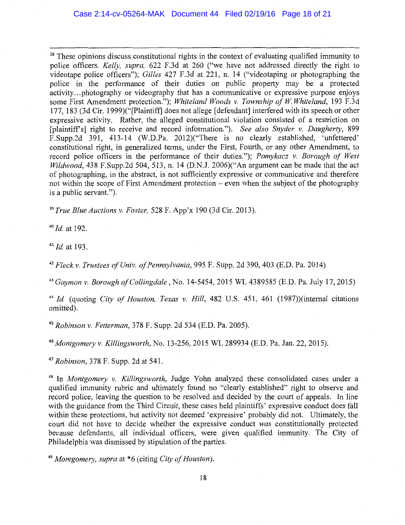<sup>38</sup> These opinions discuss constitutional rights in the context of evaluating qualified immunity to police officers. *Kelly, supra,* 622 F.3d at 260 ("we have not addressed directly the right to videotape police officers"); *Gilles* 427 F.3d at 221, n. 14 ("videotaping or photographing the police in the performance of their duties on public property may be a protected activity ... photography or videography that has a communicative or expressive purpose enjoys some First Amendment protection."); *Whiteland Woods v. Township of W Whiteland,* 193 F.3d 177, 183 (3d Cir. 1999)("[Plaintiff] does not allege [defendant] interfered with its speech or other expressive activity. Rather, the alleged constitutional violation consisted of a restriction on [plaintiffs] right to receive and record information."). *See also Snyder v. Daugherty,* 899 F.Supp.2d 391, 413-14 (W.D.Pa. 2012)("There is no clearly established, 'unfettered' constitutional right, in generalized terms, under the First, Fourth, or any other Amendment, to record police officers in the performance of their duties."); *Pomykacz v. Borough of West Wildwood,* 438 F.Supp.2d 504, 513, n. 14 (D.N.J. 2006)("An argument can be made that the act of photographing, in the abstract, is not sufficiently expressive or communicative and therefore not within the scope of First Amendment protection – even when the subject of the photography is a public servant.").

<sup>39</sup>*True Blue Auctions v. Foster,* 528 F. App'x 190 (3d Cir. 2013).

<sup>40</sup>*Id.* at 192.

<sup>41</sup>*Id.* at 193.

<sup>42</sup>*Fleck v. Trustees of Univ. of Pennsylvania,* 995 F. Supp. 2d 390, 403 (E.D. Pa. 2014)

<sup>43</sup>*Gaymon v. Borough of Collingdale,* No. 14-5454, 2015 WL 4389585 (E.D. Pa. July 17, 2015)

<sup>44</sup>*Id.* (quoting *City of Houston, Texas v. Hill,* 482 U.S. 451, 461 (1987))(intemal citations omitted).

<sup>45</sup>*Robinson v. Fetterman,* 378 F. Supp. 2d 534 (E.D. Pa. 2005).

<sup>46</sup>*Montgomery v. Killingsworth,* No. 13-256, 2015 WL 289934 (E.D. Pa. Jan. 22, 2015).

<sup>47</sup>*Robinson,* 378 F. Supp. 2d at 541.

48 In *Montgomery v. Killingsworth,* Judge Yohn analyzed these consolidated cases under a qualified immunity rubric and ultimately found no "clearly established" right to observe and record police, leaving the question to be resolved and decided by the court of appeals. In line with the guidance from the Third Circuit, these cases held plaintiffs' expressive conduct does fall within these protections, but activity not deemed 'expressive' probably did not. Ultimately, the court did not have to decide whether the expressive conduct *was* constitutionally protected because defendants, all individual officers, were given qualified immunity. The City of Philadelphia was dismissed by stipulation of the parties.

<sup>49</sup>*Montgomery, supra* at \*6 (citing *City of Houston).*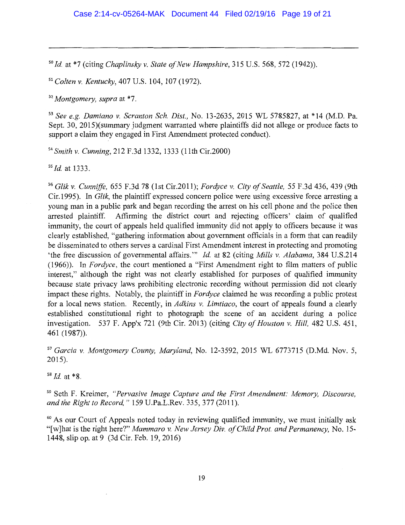<sup>50</sup>*Id.* at \*7 (citing *Chaplinsky v. State of New Hampshire,* 315 U.S. 568, 572 (1942)).

<sup>51</sup>*Colten v. Kentucky,* 407 U.S. 104, 107 (1972).

<sup>52</sup>*Montgomery, supra* at \*7.

<sup>53</sup>*See e.g. Damiano v. Scranton Sch. Dist.,* No. 13-2635, 2015 WL 5785827, at \*14 (M.D. Pa. Sept. 30, 2015)(summary judgment warranted where plaintiffs did not allege or produce facts to support a claim they engaged in First Amendment protected conduct).

<sup>54</sup>*Smith v. Cunning,* 212 F.3d 1332, 1333 (1 lth Cir.2000)

ss *Id.* at 1333.

<sup>56</sup>*Glik v. Cunniffe,* 655 F.3d 78 (1st Cir.2011); *Fordyce v. City of Seattle,* 55 F.3d 436, 439 (9th Cir.1995). In *Glik,* the plaintiff expressed concern police were using excessive force arresting a young man in a public park and began recording the arrest on his cell phone and the police then arrested plaintiff. Affirming the district court and rejecting officers' claim of qualified immunity, the court of appeals held qualified immunity did not apply to officers because it was clearly established, "gathering information about government officials in a form that can readily be disseminated to others serves a cardinal First Amendment interest in protecting and promoting 'the free discussion of governmental affairs."' *Id.* at 82 (citing *Mills v. Alabama,* 384 U.S.214 (1966)). In *Fordyce,* the court mentioned a "First Amendment right to film matters of public interest," although the right was not clearly established for purposes of qualified immunity because state privacy laws prohibiting electronic recording without permission did not clearly impact these rights. Notably, the plaintiff in *Fordyce* claimed he was recording a public protest for a local news station. Recently, in *Adkins v. Limtiaco,* the court of appeals found a clearly established constitutional right to photograph the scene of an accident during a police investigation. 537 F. App'x 721 (9th Cir. 2013) (citing *City of Houston v. Hill,* 482 U.S. 451, 461 (1987)).

<sup>57</sup>*Garcia v. Montgomery County, Maryland,* No. 12-3592, 2015 WL 6773715 (D.Md. Nov. 5, 2015).

<sup>58</sup>*Id.* at \*8.

59 Seth F. Kreimer, *"Pervasive Image Capture and the First Amendment: Memory, Discourse, and the Right to Record,"* 159 U.Pa.L.Rev. 335, 377 (2011).

<sup>60</sup> As our Court of Appeals noted today in reviewing qualified immunity, we must initially ask "[w]hat is the right here?" *Mammaro v. New Jersey Div. of Child Prat. and Permanency,* No. 15- 1448, slip op. at 9 (3d Cir. Feb. 19, 2016)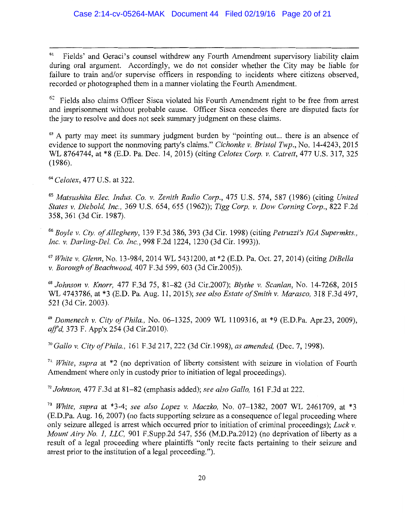<sup>61</sup> Fields' and Geraci's counsel withdrew any Fourth Amendment supervisory liability claim during oral argument. Accordingly, we do not consider whether the City may be liable for failure to train and/or supervise officers in responding to incidents where citizens observed, recorded or photographed them in a manner violating the Fourth Amendment.

 $62$  Fields also claims Officer Sisca violated his Fourth Amendment right to be free from arrest and imprisonment without probable cause. Officer Sisca concedes there are disputed facts for the jury to resolve and does not seek summary judgment on these claims.

<sup>63</sup> A party may meet its summary judgment burden by "pointing out... there is an absence of evidence to support the nonmoving party's claims." *Cichonke v. Bristol Twp.,* No. 14-4243, 2015 WL 8764744, at \*8 (E.D. Pa. Dec. 14, 2015) (citing *Celotex Corp. v. Catrett,* 477 U.S. 317, 325 (1986).

<sup>64</sup>*Celotex,* 477 U.S. at 322.

<sup>65</sup>*Matsushita Elec. Indus. Co. v. Zenith Radio Corp.,* 475 U.S. 574, 587 (1986) (citing *United States v. Diebold, Inc.,* 369 U.S. 654, 655 (1962)); *Tigg Corp. v. Dow Corning Corp.,* 822 F.2d 358, 361 (3d Cir. 1987).

<sup>66</sup>*Boyle v. Cty. of Allegheny,* 139 F.3d 386, 393 (3d Cir. 1998) (citing *Petruzzi's !GA Supermkts., Inc. v. Darling-Del. Co. Inc.,* 998 F.2d 1224, 1230 (3d Cir. 1993)).

<sup>67</sup>*White v. Glenn,* No. 13-984, 2014 WL 5431200, at \*2 (E.D. Pa. Oct. 27, 2014) (citing *DiBella v. Borough of Beachwood,* 407 F.3d 599, 603 (3d Cir.2005)).

<sup>68</sup>*Johnson v. Knorr,* 477 F.3d 75, 81-82 (3d Cir.2007); *Blythe v. Scanlan,* No. 14-7268, 2015 WL 4743786, at \*3 (E.D. Pa. Aug. 11, 2015); *see also Estate of Smith v. Marasco,* 318 F.3d 497, 521 (3d Cir. 2003).

<sup>69</sup>*Domenech v. City of Phila.,* No. 06-1325, 2009 WL 1109316, at \*9 (E.D.Pa. Apr.23, 2009), *affd,* 373 F. App'x 254 (3d Cir.2010).

<sup>70</sup>*Gallo v. City of Phila.,* 161 F.3d 217, 222 (3d Cir.1998), *as amended,* (Dec. 7, 1998).

<sup>71</sup>*White, supra* at \*2 (no deprivation of liberty consistent with seizure in violation of Fourth Amendment where only in custody prior to initiation of legal proceedings).

<sup>72</sup>*Johnson,* 477 F.3d at 81-82 (emphasis added); *see also Gallo,* 161 F.3d at 222.

<sup>73</sup>*White, supra* at \*3-4; *see also Lopez v. Maczko,* No. 07-1382, 2007 WL 2461709, at \*3 (E.D.Pa. Aug. 16, 2007) (no facts supporting seizure as a consequence of legal proceeding where only seizure alleged is arrest which occurred prior to initiation of criminal proceedings); *Luck v. Mount Airy No. 1, LLC, 901 F.Supp.2d 547, 556 (M.D.Pa.2012) (no deprivation of liberty as a* result of a legal proceeding where plaintiffs "only recite facts pertaining to their seizure and arrest prior to the institution of a legal proceeding.").